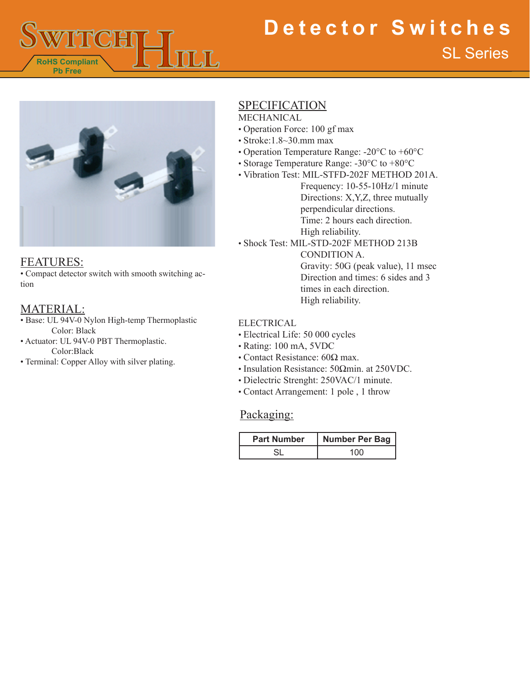

# SL Series **Detector Switches**



#### FEATURES:

• Compact detector switch with smooth switching action

## MATERIAL:

- Base: UL 94V-0 Nylon High-temp Thermoplastic Color: Black
- Actuator: UL 94V-0 PBT Thermoplastic. Color:Black
- Terminal: Copper Alloy with silver plating.

#### SPECIFICATION MECHANICAL

- Operation Force: 100 gf max
- Stroke:1.8~30.mm max
- Operation Temperature Range: -20°C to +60°C
- Storage Temperature Range: -30°C to +80°C
- Vibration Test: MIL-STFD-202F METHOD 201A.

Frequency: 10-55-10Hz/1 minute Directions: X,Y,Z, three mutually perpendicular directions. Time: 2 hours each direction. High reliability.

• Shock Test: MIL-STD-202F METHOD 213B

CONDITION A. Gravity: 50G (peak value), 11 msec Direction and times: 6 sides and 3 times in each direction. High reliability.

#### ELECTRICAL

- Electrical Life: 50 000 cycles
- Rating: 100 mA, 5VDC
- Contact Resistance: 60Ω max.
- Insulation Resistance: 50Ωmin. at 250VDC.
- Dielectric Strenght: 250VAC/1 minute.
- Contact Arrangement: 1 pole , 1 throw

### Packaging:

| <b>Part Number</b> | <b>Number Per Bag</b> |
|--------------------|-----------------------|
|                    |                       |